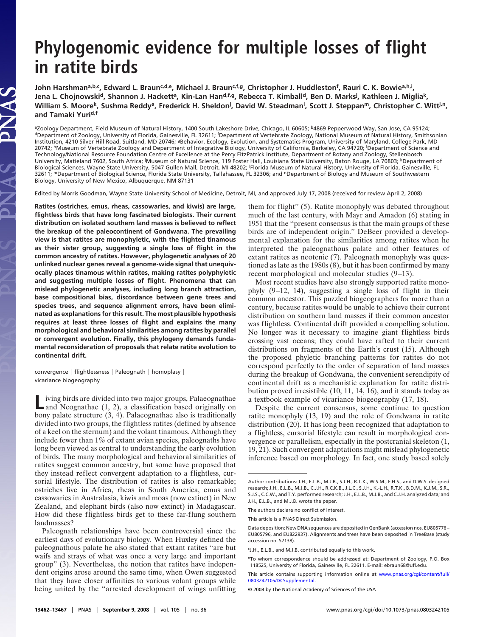## **Phylogenomic evidence for multiple losses of flight in ratite birds**

John Harshman<sup>a,b,c</sup>, Edward L. Braun<sup>c,d,e</sup>, Michael J. Braun<sup>c,f,g</sup>, Christopher J. Huddleston<sup>f</sup>, Rauri C. K. Bowie<sup>a,h,i</sup>, Jena L. Chojnowski<sup>d</sup>, Shannon J. Hackett<sup>a</sup>, Kin-Lan Han<sup>d,f,g</sup>, Rebecca T. Kimball<sup>d</sup>, Ben D. Marks<sup>j</sup>, Kathleen J. Miglia<sup>k</sup>, William S. Moore<sup>k</sup>, Sushma Reddy<sup>a</sup>, Frederick H. Sheldon<sup>j</sup>, David W. Steadman<sup>i</sup>, Scott J. Steppan<sup>m</sup>, Christopher C. Witt<sup>j.n</sup>, **and Tamaki Yurid,f**

<sup>a</sup>Zoology Department, Field Museum of Natural History, 1400 South Lakeshore Drive, Chicago, IL 60605; <sup>b</sup>4869 Pepperwood Way, San Jose, CA 95124; dDepartment of Zoology, University of Florida, Gainesville, FL 32611; <sup>f</sup>Department of Vertebrate Zoology, National Museum of Natural History, Smithsonian Institution, 4210 Silver Hill Road, Suitland, MD 20746; gBehavior, Ecology, Evolution, and Systematics Program, University of Maryland, College Park, MD 20742; hMuseum of Vertebrate Zoology and Department of Integrative Biology, University of California, Berkeley, CA 94720; <sup>i</sup> Department of Science and Technology/National Resource Foundation Centre of Excellence at the Percy FitzPatrick Institute, Department of Botany and Zoology, Stellenbosch University, Matieland 7602, South Africa; <sup>j</sup>Museum of Natural Science, 119 Foster Hall, Louisiana State University, Baton Rouge, LA 70803; <sup>k</sup>Department of Biological Sciences, Wayne State University, 5047 Gullen Mall, Detroit, MI 48202; <sup>I</sup>Florida Museum of Natural History, University of Florida, Gainesville, FL 32611; mDepartment of Biological Science, Florida State University, Tallahassee, FL 32306; and nDepartment of Biology and Museum of Southwestern Biology, University of New Mexico, Albuquerque, NM 87131

Edited by Morris Goodman, Wayne State University School of Medicine, Detroit, MI, and approved July 17, 2008 (received for review April 2, 2008)

**Ratites (ostriches, emus, rheas, cassowaries, and kiwis) are large, flightless birds that have long fascinated biologists. Their current distribution on isolated southern land masses is believed to reflect the breakup of the paleocontinent of Gondwana. The prevailing view is that ratites are monophyletic, with the flighted tinamous as their sister group, suggesting a single loss of flight in the common ancestry of ratites. However, phylogenetic analyses of 20 unlinked nuclear genes reveal a genome-wide signal that unequivocally places tinamous within ratites, making ratites polyphyletic and suggesting multiple losses of flight. Phenomena that can mislead phylogenetic analyses, including long branch attraction, base compositional bias, discordance between gene trees and species trees, and sequence alignment errors, have been eliminated as explanations for this result. The most plausible hypothesis requires at least three losses of flight and explains the many morphological and behavioral similarities among ratites by parallel or convergent evolution. Finally, this phylogeny demands fundamental reconsideration of proposals that relate ratite evolution to continental drift.**

convergence | flightlessness | Paleognath | homoplasy | vicariance biogeography

JAS

iving birds are divided into two major groups, Palaeognathae and Neognathae  $(1, 2)$ , a classification based originally on bony palate structure (3, 4). Palaeognathae also is traditionally divided into two groups, the flightless ratites (defined by absence of a keel on the sternum) and the volant tinamous. Although they include fewer than 1% of extant avian species, paleognaths have long been viewed as central to understanding the early evolution of birds. The many morphological and behavioral similarities of ratites suggest common ancestry, but some have proposed that they instead reflect convergent adaptation to a flightless, cursorial lifestyle. The distribution of ratites is also remarkable; ostriches live in Africa, rheas in South America, emus and cassowaries in Australasia, kiwis and moas (now extinct) in New Zealand, and elephant birds (also now extinct) in Madagascar. How did these flightless birds get to these far-flung southern landmasses?

Paleognath relationships have been controversial since the earliest days of evolutionary biology. When Huxley defined the paleognathous palate he also stated that extant ratites ''are but waifs and strays of what was once a very large and important group'' (3). Nevertheless, the notion that ratites have independent origins arose around the same time, when Owen suggested that they have closer affinities to various volant groups while being united by the ''arrested development of wings unfitting them for flight'' (5). Ratite monophyly was debated throughout much of the last century, with Mayr and Amadon (6) stating in 1951 that the ''present consensus is that the main groups of these birds are of independent origin.'' DeBeer provided a developmental explanation for the similarities among ratites when he interpreted the paleognathous palate and other features of extant ratites as neotenic (7). Paleognath monophyly was questioned as late as the 1980s (8), but it has been confirmed by many recent morphological and molecular studies (9–13).

Most recent studies have also strongly supported ratite monophyly (9–12, 14), suggesting a single loss of flight in their common ancestor. This puzzled biogeographers for more than a century, because ratites would be unable to achieve their current distribution on southern land masses if their common ancestor was flightless. Continental drift provided a compelling solution. No longer was it necessary to imagine giant flightless birds crossing vast oceans; they could have rafted to their current distributions on fragments of the Earth's crust (15). Although the proposed phyletic branching patterns for ratites do not correspond perfectly to the order of separation of land masses during the breakup of Gondwana, the convenient serendipity of continental drift as a mechanistic explanation for ratite distribution proved irresistible (10, 11, 14, 16), and it stands today as a textbook example of vicariance biogeography (17, 18).

Despite the current consensus, some continue to question ratite monophyly (13, 19) and the role of Gondwana in ratite distribution (20). It has long been recognized that adaptation to a flightless, cursorial lifestyle can result in morphological convergence or parallelism, especially in the postcranial skeleton (1, 19, 21). Such convergent adaptations might mislead phylogenetic inference based on morphology. In fact, one study based solely

Author contributions: J.H., E.L.B., M.J.B., S.J.H., R.T.K., W.S.M., F.H.S., and D.W.S. designed research; J.H., E.L.B., M.J.B., C.J.H., R.C.K.B., J.L.C., S.J.H., K.-L.H., R.T.K., B.D.M., K.J.M., S.R., S.J.S., C.C.W., and T.Y. performed research; J.H., E.L.B., M.J.B., and C.J.H. analyzed data; and J.H., E.L.B., and M.J.B. wrote the paper.

The authors declare no conflict of interest.

This article is a PNAS Direct Submission.

Data deposition: New DNA sequences are deposited in GenBank (accession nos. EU805776 – EU805796, and EU822937). Alignments and trees have been deposited in TreeBase (study accession no. S2138).

cJ.H., E.L.B., and M.J.B. contributed equally to this work.

eTo whom correspondence should be addressed at: Department of Zoology, P.O. Box 118525, University of Florida, Gainesville, FL 32611. E-mail: ebraun68@ufl.edu.

This article contains supporting information online at [www.pnas.org/cgi/content/full/](http://www.pnas.org/cgi/content/full/0803242105/DCSupplemental) [0803242105/DCSupplemental.](http://www.pnas.org/cgi/content/full/0803242105/DCSupplemental)

<sup>© 2008</sup> by The National Academy of Sciences of the USA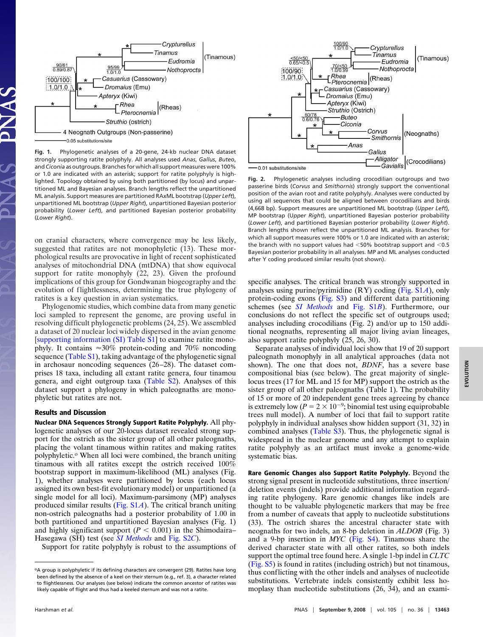

**Fig. 1.** Phylogenetic analyses of a 20-gene, 24-kb nuclear DNA dataset strongly supporting ratite polyphyly. All analyses used *Anas*, *Gallus*, *Buteo*, and *Ciconia* as outgroups. Branches for which all support measures were 100% or 1.0 are indicated with an asterisk; support for ratite polyphyly is highlighted. Topology obtained by using both partitioned (by locus) and unpartitioned ML and Bayesian analyses. Branch lengths reflect the unpartitioned ML analysis. Support measures are partitioned RAxML bootstrap (*Upper Left*), unpartitioned ML bootstrap (*Upper Right*), unpartitioned Bayesian posterior probability (*Lower Left*), and partitioned Bayesian posterior probability (*Lower Right*).

on cranial characters, where convergence may be less likely, suggested that ratites are not monophyletic (13). These morphological results are provocative in light of recent sophisticated analyses of mitochondrial DNA (mtDNA) that show equivocal support for ratite monophyly (22, 23). Given the profound implications of this group for Gondwanan biogeography and the evolution of flightlessness, determining the true phylogeny of ratites is a key question in avian systematics.

Phylogenomic studies, which combine data from many genetic loci sampled to represent the genome, are proving useful in resolving difficult phylogenetic problems (24, 25). We assembled a dataset of 20 nuclear loci widely dispersed in the avian genome [\[supporting information \(SI\) Table S1\]](http://www.pnas.org/cgi/data/0803242105/DCSupplemental/Supplemental_PDF#nameddest=ST1) to examine ratite monophyly. It contains  $\approx 30\%$  protein-coding and 70% noncoding sequence [\(Table S1\)](http://www.pnas.org/cgi/data/0803242105/DCSupplemental/Supplemental_PDF#nameddest=ST1), taking advantage of the phylogenetic signal in archosaur noncoding sequences (26–28). The dataset comprises 18 taxa, including all extant ratite genera, four tinamou genera, and eight outgroup taxa [\(Table S2\)](http://www.pnas.org/cgi/data/0803242105/DCSupplemental/Supplemental_PDF#nameddest=ST2). Analyses of this dataset support a phylogeny in which paleognaths are monophyletic but ratites are not.

## **Results and Discussion**

**Nuclear DNA Sequences Strongly Support Ratite Polyphyly.** All phylogenetic analyses of our 20-locus dataset revealed strong support for the ostrich as the sister group of all other paleognaths, placing the volant tinamous within ratites and making ratites polyphyletic.<sup>o</sup> When all loci were combined, the branch uniting tinamous with all ratites except the ostrich received 100% bootstrap support in maximum-likelihood (ML) analyses (Fig. 1), whether analyses were partitioned by locus (each locus assigned its own best-fit evolutionary model) or unpartitioned (a single model for all loci). Maximum-parsimony (MP) analyses produced similar results [\(Fig. S1](http://www.pnas.org/cgi/data/0803242105/DCSupplemental/Supplemental_PDF#nameddest=SF1)*A*). The critical branch uniting non-ostrich paleognaths had a posterior probability of 1.00 in both partitioned and unpartitioned Bayesian analyses (Fig. 1) and highly significant support  $(P < 0.001)$  in the Shimodaira– Hasegawa (SH) test (see *[SI Methods](http://www.pnas.org/cgi/data/0803242105/DCSupplemental/Supplemental_PDF#nameddest=STXT)* and [Fig. S2](http://www.pnas.org/cgi/data/0803242105/DCSupplemental/Supplemental_PDF#nameddest=SF2)*C*).

Support for ratite polyphyly is robust to the assumptions of



**Fig. 2.** Phylogenetic analyses including crocodilian outgroups and two passerine birds (*Corvus* and *Smithornis*) strongly support the conventional position of the avian root and ratite polyphyly. Analyses were conducted by using all sequences that could be aligned between crocodilians and birds (4,668 bp). Support measures are unpartitioned ML bootstrap (*Upper Left*), MP bootstrap (U*pper Right*), unpartitioned Bayesian posterior probability (*Lower Left*), and partitioned Bayesian posterior probability (*Lower Right*). Branch lengths shown reflect the unpartitioned ML analysis. Branches for which all support measures were 100% or 1.0 are indicated with an asterisk; the branch with no support values had  $<$  50% bootstrap support and  $<$  0.5 Bayesian posterior probability in all analyses. MP and ML analyses conducted after Y coding produced similar results (not shown).

specific analyses. The critical branch was strongly supported in analyses using purine/pyrimidine (RY) coding [\(Fig. S1](http://www.pnas.org/cgi/data/0803242105/DCSupplemental/Supplemental_PDF#nameddest=SF1)*A*), only protein-coding exons [\(Fig. S3\)](http://www.pnas.org/cgi/data/0803242105/DCSupplemental/Supplemental_PDF#nameddest=SF3) and different data partitioning schemes (see *[SI Methods](http://www.pnas.org/cgi/data/0803242105/DCSupplemental/Supplemental_PDF#nameddest=STXT)* and [Fig. S1](http://www.pnas.org/cgi/data/0803242105/DCSupplemental/Supplemental_PDF#nameddest=SF1)*B*). Furthermore, our conclusions do not reflect the specific set of outgroups used; analyses including crocodilians (Fig. 2) and/or up to 150 additional neognaths, representing all major living avian lineages, also support ratite polyphyly (25, 26, 30).

Separate analyses of individual loci show that 19 of 20 support paleognath monophyly in all analytical approaches (data not shown). The one that does not, *BDNF*, has a severe base compositional bias (see below). The great majority of singlelocus trees (17 for ML and 15 for MP) support the ostrich as the sister group of all other paleognaths (Table 1). The probability of 15 or more of 20 independent gene trees agreeing by chance is extremely low ( $P = 2 \times 10^{-9}$ ; binomial test using equiprobable trees null model). A number of loci that fail to support ratite polyphyly in individual analyses show hidden support (31, 32) in combined analyses [\(Table S3\)](http://www.pnas.org/cgi/data/0803242105/DCSupplemental/Supplemental_PDF#nameddest=ST3). Thus, the phylogenetic signal is widespread in the nuclear genome and any attempt to explain ratite polyphyly as an artifact must invoke a genome-wide systematic bias.

**Rare Genomic Changes also Support Ratite Polyphyly.** Beyond the strong signal present in nucleotide substitutions, three insertion/ deletion events (indels) provide additional information regarding ratite phylogeny. Rare genomic changes like indels are thought to be valuable phylogenetic markers that may be free from a number of caveats that apply to nucleotide substitutions (33). The ostrich shares the ancestral character state with neognaths for two indels, an 8-bp deletion in *ALDOB* (Fig. 3) and a 9-bp insertion in *MYC* [\(Fig. S4\)](http://www.pnas.org/cgi/data/0803242105/DCSupplemental/Supplemental_PDF#nameddest=SF4). Tinamous share the derived character state with all other ratites, so both indels support the optimal tree found here. A single 1-bp indel in *CLTC* [\(Fig. S5\)](http://www.pnas.org/cgi/data/0803242105/DCSupplemental/Supplemental_PDF#nameddest=SF5) is found in ratites (including ostrich) but not tinamous, thus conflicting with the other indels and analyses of nucleotide substitutions. Vertebrate indels consistently exhibit less homoplasy than nucleotide substitutions (26, 34), and an exami-

oA group is polyphyletic if its defining characters are convergent (29). Ratites have long been defined by the absence of a keel on their sternum (e.g., ref. 3), a character related to flightlessness. Our analyses (see below) indicate the common ancestor of ratites was likely capable of flight and thus had a keeled sternum and was not a ratite.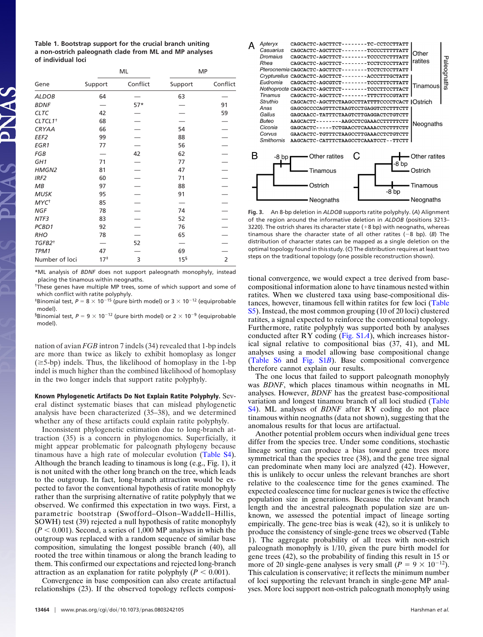**Table 1. Bootstrap support for the crucial branch uniting a non-ostrich paleognath clade from ML and MP analyses of individual loci**

| Gene                    | ML              |          | MP              |                |
|-------------------------|-----------------|----------|-----------------|----------------|
|                         | Support         | Conflict | Support         | Conflict       |
| <b>ALDOB</b>            | 64              |          | 63              |                |
| <b>BDNF</b>             |                 | $57*$    |                 | 91             |
| <b>CLTC</b>             | 42              |          |                 | 59             |
| CLTCL1 <sup>+</sup>     | 68              |          |                 |                |
| CRYAA                   | 66              |          | 54              |                |
| EEF <sub>2</sub>        | 99              |          | 88              |                |
| EGR1                    | 77              |          | 56              |                |
| FGB                     |                 | 42       | 62              |                |
| GH <sub>1</sub>         | 71              |          | 77              |                |
| HMGN2                   | 81              |          | 47              |                |
| IRF <sub>2</sub>        | 60              |          | 71              |                |
| MB                      | 97              |          | 88              |                |
| <b>MUSK</b>             | 95              |          | 91              |                |
| <b>MYC</b> <sup>+</sup> | 85              |          |                 |                |
| <b>NGF</b>              | 78              |          | 74              |                |
| NTF3                    | 83              |          | 52              |                |
| PCBD1                   | 92              |          | 76              |                |
| <b>RHO</b>              | 78              |          | 65              |                |
| TGFB2 <sup>+</sup>      |                 | 52       |                 |                |
| TPM1                    | 47              |          | 69              |                |
| Number of loci          | 17 <sup>‡</sup> | 3        | 15 <sup>5</sup> | $\overline{2}$ |

\*ML analysis of *BDNF* does not support paleognath monophyly, instead placing the tinamous within neognaths.

<sup>†</sup>These genes have multiple MP trees, some of which support and some of which conflict with ratite polyphyly.

<sup>‡</sup>Binomial test,  $P = 8 \times 10^{-15}$  (pure birth model) or  $3 \times 10^{-12}$  (equiprobable model).

<sup>§</sup>Binomial test,  $P = 9 \times 10^{-12}$  (pure birth model) or  $2 \times 10^{-9}$  (equiprobable model).

nation of avian *FGB* intron 7 indels (34) revealed that 1-bp indels are more than twice as likely to exhibit homoplasy as longer  $(\geq 5$ -bp) indels. Thus, the likelihood of homoplasy in the 1-bp indel is much higher than the combined likelihood of homoplasy in the two longer indels that support ratite polyphyly.

**Known Phylogenetic Artifacts Do Not Explain Ratite Polyphyly.** Several distinct systematic biases that can mislead phylogenetic analysis have been characterized (35–38), and we determined whether any of these artifacts could explain ratite polyphyly.

Inconsistent phylogenetic estimation due to long-branch attraction (35) is a concern in phylogenomics. Superficially, it might appear problematic for paleognath phylogeny because tinamous have a high rate of molecular evolution [\(Table S4\)](http://www.pnas.org/cgi/data/0803242105/DCSupplemental/Supplemental_PDF#nameddest=ST4). Although the branch leading to tinamous is long (e.g., Fig. 1), it is not united with the other long branch on the tree, which leads to the outgroup. In fact, long-branch attraction would be expected to favor the conventional hypothesis of ratite monophyly rather than the surprising alternative of ratite polyphyly that we observed. We confirmed this expectation in two ways. First, a parametric bootstrap (Swofford–Olson–Waddell–Hillis, SOWH) test (39) rejected a null hypothesis of ratite monophyly  $(P < 0.001)$ . Second, a series of 1,000 MP analyses in which the outgroup was replaced with a random sequence of similar base composition, simulating the longest possible branch (40), all rooted the tree within tinamous or along the branch leading to them. This confirmed our expectations and rejected long-branch attraction as an explanation for ratite polyphyly  $(P < 0.001)$ .

Convergence in base composition can also create artifactual relationships (23). If the observed topology reflects composi-



**Fig. 3.** An 8-bp deletion in *ALDOB* supports ratite polyphyly. (*A*) Alignment of the region around the informative deletion in *ALDOB* (positions 3213– 3220). The ostrich shares its character state  $(+8$  bp) with neognaths, whereas tinamous share the character state of all other ratites  $(-8 \text{ bo})$ . (*B*) The distribution of character states can be mapped as a single deletion on the optimal topology found in this study. (*C*) The distribution requires at least two steps on the traditional topology (one possible reconstruction shown).

tional convergence, we would expect a tree derived from basecompositional information alone to have tinamous nested within ratites. When we clustered taxa using base-compositional distances, however, tinamous fell within ratites for few loci [\(Table](http://www.pnas.org/cgi/data/0803242105/DCSupplemental/Supplemental_PDF#nameddest=ST5) [S5\)](http://www.pnas.org/cgi/data/0803242105/DCSupplemental/Supplemental_PDF#nameddest=ST5). Instead, the most common grouping (10 of 20 loci) clustered ratites, a signal expected to reinforce the conventional topology. Furthermore, ratite polyphyly was supported both by analyses conducted after RY coding [\(Fig. S1](http://www.pnas.org/cgi/data/0803242105/DCSupplemental/Supplemental_PDF#nameddest=SF1)*A*), which increases historical signal relative to compositional bias (37, 41), and ML analyses using a model allowing base compositional change [\(Table S6](http://www.pnas.org/cgi/data/0803242105/DCSupplemental/Supplemental_PDF#nameddest=ST6) and [Fig. S1](http://www.pnas.org/cgi/data/0803242105/DCSupplemental/Supplemental_PDF#nameddest=SF1)*B*). Base compositional convergence therefore cannot explain our results.

The one locus that failed to support paleognath monophyly was *BDNF*, which places tinamous within neognaths in ML analyses. However, *BDNF* has the greatest base-compositional variation and longest tinamou branch of all loci studied [\(Table](http://www.pnas.org/cgi/data/0803242105/DCSupplemental/Supplemental_PDF#nameddest=ST4) [S4\)](http://www.pnas.org/cgi/data/0803242105/DCSupplemental/Supplemental_PDF#nameddest=ST4). ML analyses of *BDNF* after RY coding do not place tinamous within neognaths (data not shown), suggesting that the anomalous results for that locus are artifactual.

Another potential problem occurs when individual gene trees differ from the species tree. Under some conditions, stochastic lineage sorting can produce a bias toward gene trees more symmetrical than the species tree (38), and the gene tree signal can predominate when many loci are analyzed (42). However, this is unlikely to occur unless the relevant branches are short relative to the coalescence time for the genes examined. The expected coalescence time for nuclear genes is twice the effective population size in generations. Because the relevant branch length and the ancestral paleognath population size are unknown, we assessed the potential impact of lineage sorting empirically. The gene-tree bias is weak (42), so it is unlikely to produce the consistency of single-gene trees we observed (Table 1). The aggregate probability of all trees with non-ostrich paleognath monophyly is 1/10, given the pure birth model for gene trees (42), so the probability of finding this result in 15 or more of 20 single-gene analyses is very small  $(P = 9 \times 10^{-12})$ . This calculation is conservative; it reflects the minimum number of loci supporting the relevant branch in single-gene MP analyses. More loci support non-ostrich paleognath monophyly using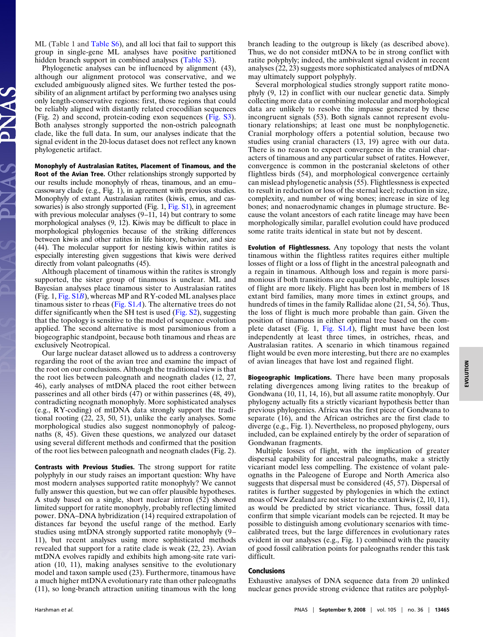ML (Table 1 and [Table S6\)](http://www.pnas.org/cgi/data/0803242105/DCSupplemental/Supplemental_PDF#nameddest=ST6), and all loci that fail to support this group in single-gene ML analyses have positive partitioned hidden branch support in combined analyses [\(Table S3\)](http://www.pnas.org/cgi/data/0803242105/DCSupplemental/Supplemental_PDF#nameddest=ST3).

Phylogenetic analyses can be influenced by alignment (43), although our alignment protocol was conservative, and we excluded ambiguously aligned sites. We further tested the possibility of an alignment artifact by performing two analyses using only length-conservative regions: first, those regions that could be reliably aligned with distantly related crocodilian sequences (Fig. 2) and second, protein-coding exon sequences [\(Fig. S3\)](http://www.pnas.org/cgi/data/0803242105/DCSupplemental/Supplemental_PDF#nameddest=SF3). Both analyses strongly supported the non-ostrich paleognath clade, like the full data. In sum, our analyses indicate that the signal evident in the 20-locus dataset does not reflect any known phylogenetic artifact.

**Monophyly of Australasian Ratites, Placement of Tinamous, and the Root of the Avian Tree.** Other relationships strongly supported by our results include monophyly of rheas, tinamous, and an emu– cassowary clade (e.g., Fig. 1), in agreement with previous studies. Monophyly of extant Australasian ratites (kiwis, emus, and cas-sowaries) is also strongly supported (Fig. 1, [Fig. S1\)](http://www.pnas.org/cgi/data/0803242105/DCSupplemental/Supplemental_PDF#nameddest=SF1), in agreement with previous molecular analyses  $(9-11, 14)$  but contrary to some morphological analyses (9, 12). Kiwis may be difficult to place in morphological phylogenies because of the striking differences between kiwis and other ratites in life history, behavior, and size (44). The molecular support for nesting kiwis within ratites is especially interesting given suggestions that kiwis were derived directly from volant paleognaths (45).

Although placement of tinamous within the ratites is strongly supported, the sister group of tinamous is unclear. ML and Bayesian analyses place tinamous sister to Australasian ratites (Fig. 1, [Fig. S1](http://www.pnas.org/cgi/data/0803242105/DCSupplemental/Supplemental_PDF#nameddest=SF1)*B*), whereas MP and RY-coded ML analyses place tinamous sister to rheas [\(Fig. S1](http://www.pnas.org/cgi/data/0803242105/DCSupplemental/Supplemental_PDF#nameddest=SF1)*A*). The alternative trees do not differ significantly when the SH test is used [\(Fig. S2\)](http://www.pnas.org/cgi/data/0803242105/DCSupplemental/Supplemental_PDF#nameddest=SF2), suggesting that the topology is sensitive to the model of sequence evolution applied. The second alternative is most parsimonious from a biogeographic standpoint, because both tinamous and rheas are exclusively Neotropical.

Our large nuclear dataset allowed us to address a controversy regarding the root of the avian tree and examine the impact of the root on our conclusions. Although the traditional view is that the root lies between paleognath and neognath clades (12, 27, 46), early analyses of mtDNA placed the root either between passerines and all other birds (47) or within passerines (48, 49), contradicting neognath monophyly. More sophisticated analyses (e.g., RY-coding) of mtDNA data strongly support the traditional rooting (22, 23, 50, 51), unlike the early analyses. Some morphological studies also suggest nonmonophyly of paleognaths (8, 45). Given these questions, we analyzed our dataset using several different methods and confirmed that the position of the root lies between paleognath and neognath clades (Fig. 2).

**Contrasts with Previous Studies.** The strong support for ratite polyphyly in our study raises an important question: Why have most modern analyses supported ratite monophyly? We cannot fully answer this question, but we can offer plausible hypotheses. A study based on a single, short nuclear intron (52) showed limited support for ratite monophyly, probably reflecting limited power. DNA–DNA hybridization (14) required extrapolation of distances far beyond the useful range of the method. Early studies using mtDNA strongly supported ratite monophyly (9– 11), but recent analyses using more sophisticated methods revealed that support for a ratite clade is weak (22, 23). Avian mtDNA evolves rapidly and exhibits high among-site rate variation (10, 11), making analyses sensitive to the evolutionary model and taxon sample used (23). Furthermore, tinamous have a much higher mtDNA evolutionary rate than other paleognaths (11), so long-branch attraction uniting tinamous with the long

branch leading to the outgroup is likely (as described above). Thus, we do not consider mtDNA to be in strong conflict with ratite polyphyly; indeed, the ambivalent signal evident in recent analyses (22, 23) suggests more sophisticated analyses of mtDNA may ultimately support polyphyly.

Several morphological studies strongly support ratite monophyly (9, 12) in conflict with our nuclear genetic data. Simply collecting more data or combining molecular and morphological data are unlikely to resolve the impasse generated by these incongruent signals (53). Both signals cannot represent evolutionary relationships; at least one must be nonphylogenetic. Cranial morphology offers a potential solution, because two studies using cranial characters (13, 19) agree with our data. There is no reason to expect convergence in the cranial characters of tinamous and any particular subset of ratites. However, convergence is common in the postcranial skeletons of other flightless birds (54), and morphological convergence certainly can mislead phylogenetic analysis (55). Flightlessness is expected to result in reduction or loss of the sternal keel; reduction in size, complexity, and number of wing bones; increase in size of leg bones; and nonaerodynamic changes in plumage structure. Because the volant ancestors of each ratite lineage may have been morphologically similar, parallel evolution could have produced some ratite traits identical in state but not by descent.

**Evolution of Flightlessness.** Any topology that nests the volant tinamous within the flightless ratites requires either multiple losses of flight or a loss of flight in the ancestral paleognath and a regain in tinamous. Although loss and regain is more parsimonious if both transitions are equally probable, multiple losses of flight are more likely. Flight has been lost in members of 18 extant bird families, many more times in extinct groups, and hundreds of times in the family Rallidae alone (21, 54, 56). Thus, the loss of flight is much more probable than gain. Given the position of tinamous in either optimal tree based on the complete dataset (Fig. 1, [Fig. S1](http://www.pnas.org/cgi/data/0803242105/DCSupplemental/Supplemental_PDF#nameddest=SF1)*A*), flight must have been lost independently at least three times, in ostriches, rheas, and Australasian ratites. A scenario in which tinamous regained flight would be even more interesting, but there are no examples of avian lineages that have lost and regained flight.

**Biogeographic Implications.** There have been many proposals relating divergences among living ratites to the breakup of Gondwana (10, 11, 14, 16), but all assume ratite monophyly. Our phylogeny actually fits a strictly vicariant hypothesis better than previous phylogenies. Africa was the first piece of Gondwana to separate (16), and the African ostriches are the first clade to diverge (e.g., Fig. 1). Nevertheless, no proposed phylogeny, ours included, can be explained entirely by the order of separation of Gondwanan fragments.

Multiple losses of flight, with the implication of greater dispersal capability for ancestral paleognaths, make a strictly vicariant model less compelling. The existence of volant paleognaths in the Paleogene of Europe and North America also suggests that dispersal must be considered (45, 57). Dispersal of ratites is further suggested by phylogenies in which the extinct moas of New Zealand are not sister to the extant kiwis (2, 10, 11), as would be predicted by strict vicariance. Thus, fossil data confirm that simple vicariant models can be rejected. It may be possible to distinguish among evolutionary scenarios with timecalibrated trees, but the large differences in evolutionary rates evident in our analyses (e.g., Fig. 1) combined with the paucity of good fossil calibration points for paleognaths render this task difficult.

## **Conclusions**

Exhaustive analyses of DNA sequence data from 20 unlinked nuclear genes provide strong evidence that ratites are polyphyl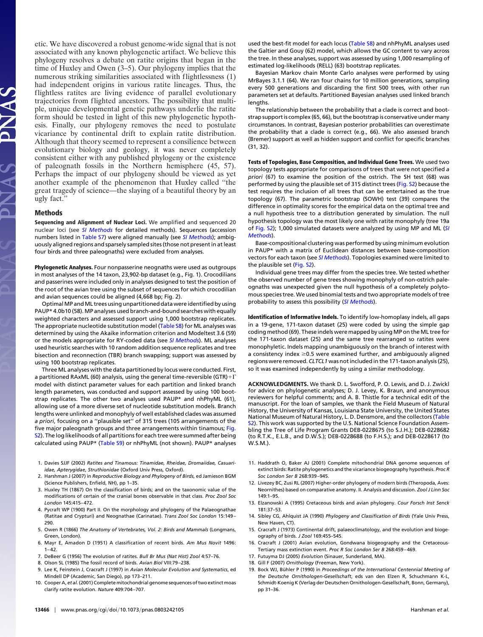etic. We have discovered a robust genome-wide signal that is not associated with any known phylogenetic artifact. We believe this phylogeny resolves a debate on ratite origins that began in the time of Huxley and Owen (3–5). Our phylogeny implies that the numerous striking similarities associated with flightlessness (1) had independent origins in various ratite lineages. Thus, the flightless ratites are living evidence of parallel evolutionary trajectories from flighted ancestors. The possibility that multiple, unique developmental genetic pathways underlie the ratite form should be tested in light of this new phylogenetic hypothesis. Finally, our phylogeny removes the need to postulate vicariance by continental drift to explain ratite distribution. Although that theory seemed to represent a consilience between evolutionary biology and geology, it was never completely consistent either with any published phylogeny or the existence of paleognath fossils in the Northern hemisphere (45, 57). Perhaps the impact of our phylogeny should be viewed as yet another example of the phenomenon that Huxley called ''the great tragedy of science—the slaying of a beautiful theory by an ugly fact.''

## **Methods**

**Sequencing and Alignment of Nuclear Loci.** We amplified and sequenced 20 nuclear loci (see *[SI Methods](http://www.pnas.org/cgi/data/0803242105/DCSupplemental/Supplemental_PDF#nameddest=STXT)* for detailed methods). Sequences (accession numbers listed in [Table S7\)](http://www.pnas.org/content/vol0/issue2008/images/data/0803242105/DCSupplemental/SD1.xls) were aligned manually (see *[SI Methods](http://www.pnas.org/cgi/data/0803242105/DCSupplemental/Supplemental_PDF#nameddest=STXT)*); ambiguously aligned regions and sparsely sampled sites (those not present in at least four birds and three paleognaths) were excluded from analyses.

**Phylogenetic Analyses.** Four nonpasserine neognaths were used as outgroups in most analyses of the 14 taxon, 23,902-bp dataset (e.g., Fig. 1). Crocodilians and passerines were included only in analyses designed to test the position of the root of the avian tree using the subset of sequences for which crocodilian and avian sequences could be aligned (4,668 bp; Fig. 2).

OptimalMP andML trees using unpartitioned data were identified by using PAUP\* 4.0b10 (58). MP analyses used branch-and-bound searches with equally weighted characters and assessed support using 1,000 bootstrap replicates. The appropriate nucleotide substitution model [\(Table S8\)](http://www.pnas.org/cgi/data/0803242105/DCSupplemental/Supplemental_PDF#nameddest=ST8) for ML analyses was determined by using the Akaike information criterion and Modeltest 3.6 (59) or the models appropriate for RY-coded data (see *[SI Methods](http://www.pnas.org/cgi/data/0803242105/DCSupplemental/Supplemental_PDF#nameddest=STXT)*). ML analyses used heuristic searches with 10 random addition sequence replicates and tree bisection and reconnection (TBR) branch swapping; support was assessed by using 100 bootstrap replicates.

Three ML analyses with the data partitioned by locus were conducted. First, a partitioned RAxML (60) analysis, using the general time-reversible (GTR) +  $\Gamma$ model with distinct parameter values for each partition and linked branch length parameters, was conducted and support assessed by using 100 bootstrap replicates. The other two analyses used PAUP\* and nhPhyML (61), allowing use of a more diverse set of nucleotide substitution models. Branch lengths were unlinked and monophyly of well established clades was assumed *a priori*, focusing on a ''plausible set'' of 315 trees (105 arrangements of the five major paleognath groups and three arrangements within tinamous; [Fig.](http://www.pnas.org/cgi/data/0803242105/DCSupplemental/Supplemental_PDF#nameddest=SF2) [S2\)](http://www.pnas.org/cgi/data/0803242105/DCSupplemental/Supplemental_PDF#nameddest=SF2). The log likelihoods of all partitions for each tree were summed after being calculated using PAUP\* [\(Table S9\)](http://www.pnas.org/content/vol0/issue2008/images/data/0803242105/DCSupplemental/SD2.xxls) or nhPhyML (not shown). PAUP\* analyses

- 1. Davies SJJF (2002) *Ratites and Tinamous: Tinamidae, Rheidae, Dromaiidae, Casuariidae, Apterygidae, Struthionidae* (Oxford Univ Press, Oxford).
- 2. Harshman J (2007) in *Reproductive Biology and Phylogeny of Birds*, ed Jamieson BGM (Science Publishers, Enfield, NH), pp 1–35.
- 3. Huxley TH (1867) On the classification of birds; and on the taxonomic value of the modifications of certain of the cranial bones observable in that class. *Proc Zool Soc London* 145:415– 472.
- 4. Pycraft WP (1900) Part II. On the morphology and phylogeny of the Palaeognathae (Ratitae and Crypturi) and Neognathae (Carinatae). *Trans Zool Soc London* 15:149 – 290.
- 5. Owen R (1866) *The Anatomy of Vertebrates, Vol. 2: Birds and Mammals* (Longmans, Green, London).
- 6. Mayr E, Amadon D (1951) A classification of recent birds. *Am Mus Novit* 1496:  $1 - 42.$
- 7. DeBeer G (1956) The evolution of ratites. *Bull Br Mus (Nat Hist) Zool* 4:57–76.
- 8. Olson SL (1985) The fossil record of birds. *Avian Biol* VIII:79 –238.
- 9. Lee K, Feinstein J, Cracraft J (1997) in *Avian Molecular Evolution and Systematics*, ed Mindell DP (Academic, San Diego), pp 173–211.
- 10. Cooper A, *et al.*(2001) Complete mitochondrial genome sequences of two extinct moas clarify ratite evolution. *Nature* 409:704 –707.

used the best-fit model for each locus [\(Table S8\)](http://www.pnas.org/cgi/data/0803242105/DCSupplemental/Supplemental_PDF#nameddest=ST8) and nhPhyML analyses used the Galtier and Gouy (62) model, which allows the GC content to vary across the tree. In these analyses, support was assessed by using 1,000 resampling of estimated log-likelihoods (RELL) (63) bootstrap replicates.

Bayesian Markov chain Monte Carlo analyses were performed by using MrBayes 3.1.1 (64). We ran four chains for 10 million generations, sampling every 500 generations and discarding the first 500 trees, with other run parameters set at defaults. Partitioned Bayesian analyses used linked branch lengths.

The relationship between the probability that a clade is correct and bootstrap support is complex (65, 66), but the bootstrap is conservative under many circumstances. In contrast, Bayesian posterior probabilities can overestimate the probability that a clade is correct (e.g., 66). We also assessed branch (Bremer) support as well as hidden support and conflict for specific branches (31, 32).

**Tests of Topologies, Base Composition, and Individual Gene Trees.** We used two topology tests appropriate for comparisons of trees that were not specified *a priori* (67) to examine the position of the ostrich. The SH test (68) was performed by using the plausible set of 315 distinct trees [\(Fig. S2\)](http://www.pnas.org/cgi/data/0803242105/DCSupplemental/Supplemental_PDF#nameddest=SF2) because the test requires the inclusion of all trees that can be entertained as the true topology (67). The parametric bootstrap (SOWH) test (39) compares the difference in optimality scores for the empirical data on the optimal tree and a null hypothesis tree to a distribution generated by simulation. The null hypothesis topology was the most likely one with ratite monophyly (tree 19a of [Fig. S2\)](http://www.pnas.org/cgi/data/0803242105/DCSupplemental/Supplemental_PDF#nameddest=SF2); 1,000 simulated datasets were analyzed by using MP and ML (*[SI](http://www.pnas.org/cgi/data/0803242105/DCSupplemental/Supplemental_PDF#nameddest=STXT) [Methods](http://www.pnas.org/cgi/data/0803242105/DCSupplemental/Supplemental_PDF#nameddest=STXT)*).

Base-compositional clustering was performed by using minimum evolution in PAUP\* with a matrix of Euclidean distances between base-composition vectors for each taxon (see *[SI Methods](http://www.pnas.org/cgi/data/0803242105/DCSupplemental/Supplemental_PDF#nameddest=STXT)*). Topologies examined were limited to the plausible set [\(Fig. S2\)](http://www.pnas.org/cgi/data/0803242105/DCSupplemental/Supplemental_PDF#nameddest=SF2).

Individual gene trees may differ from the species tree. We tested whether the observed number of gene trees showing monophyly of non-ostrich paleognaths was unexpected given the null hypothesis of a completely polytomous species tree. We used binomial tests and two appropriate models of tree probability to assess this possibility (*[SI Methods](http://www.pnas.org/cgi/data/0803242105/DCSupplemental/Supplemental_PDF#nameddest=STXT)*).

**Identification of Informative Indels.** To identify low-homoplasy indels, all gaps in a 19-gene, 171-taxon dataset (25) were coded by using the simple gap coding method (69). These indels were mapped by using MP on the ML tree for the 171-taxon dataset (25) and the same tree rearranged so ratites were monophyletic. Indels mapping unambiguously on the branch of interest with a consistency index  $\geq$ 0.5 were examined further, and ambiguously aligned regions were removed. *CLTCL1* was not included in the 171-taxon analysis (25), so it was examined independently by using a similar methodology.

**ACKNOWLEDGMENTS.** We thank D. L. Swofford, P. O. Lewis, and D. J. Zwickl for advice on phylogenetic analyses; D. J. Levey, K. Braun, and anonymous reviewers for helpful comments; and A. B. Thistle for a technical edit of the manuscript. For the loan of samples, we thank the Field Museum of Natural History, the University of Kansas, Louisiana State University, the United States National Museum of Natural History, L. D. Densmore, and the collectors [\(Table](http://www.pnas.org/cgi/data/0803242105/DCSupplemental/Supplemental_PDF#nameddest=ST2) [S2\)](http://www.pnas.org/cgi/data/0803242105/DCSupplemental/Supplemental_PDF#nameddest=ST2). This work was supported by the U.S. National Science Foundation Assembling the Tree of Life Program Grants DEB-0228675 (to S.J.H.); DEB-0228682 (to R.T.K., E.L.B., and D.W.S.); DEB-0228688 (to F.H.S.); and DEB-0228617 (to W.S.M.).

- 11. Haddrath O, Baker AJ (2001) Complete mitochondrial DNA genome sequences of extinct birds: Ratite phylogenetics and the vicariance biogeography hypothesis. *Proc R Soc London Ser B* 268:939 –945.
- 12. Livezey BC, Zusi RL (2007) Higher-order phylogeny of modern birds (Theropoda, Aves: Neornithes) based on comparative anatomy. II. Analysis and discussion. *Zool J Linn Soc* 149:1–95.
- 13. Elzanowski A (1995) Cretaceous birds and avian phylogeny. *Cour Forsch Inst Senck* 181:37–53.
- 14. Sibley CG, Ahlquist JA (1990) *Phylogeny and Classification of Birds* (Yale Univ Press, New Haven, CT).
- 15. Cracraft J (1973) Continental drift, palaeoclimatology, and the evolution and biogeography of birds. *J Zool* 169:455–545.
- 16. Cracraft J (2001) Avian evolution, Gondwana biogeography and the Cretaceous-Tertiary mass extinction event. *Proc R Soc London Ser B* 268:459 – 469.
- 17. Futuyma DJ (2005) *Evolution* (Sinauer, Sunderland, MA).
- 18. Gill F (2007) *Ornithology* (Freeman, New York).
- 19. Bock WJ, Bühler P (1990) in *Proceedings of the International Centennial Meeting of the Deutsche Ornithologen-Gesellschaft*, eds van den Elzen R, Schuchmann K-L, Schmidt-Koenig K (Verlag der Deutschen Ornithologen-Gesellschaft, Bonn, Germany), pp 31–36.